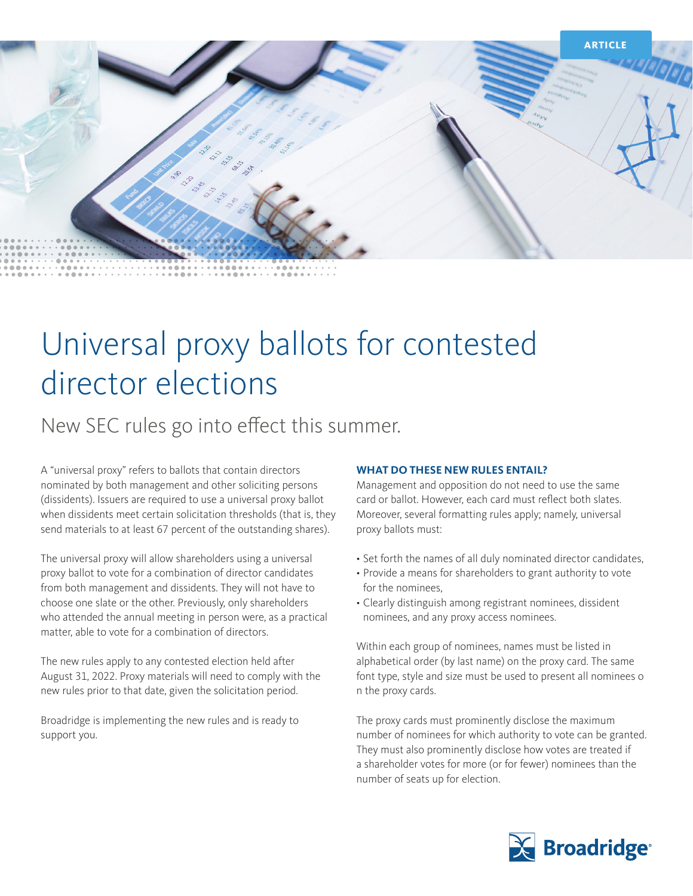

# Universal proxy ballots for contested director elections

### New SEC rules go into effect this summer.

A "universal proxy" refers to ballots that contain directors nominated by both management and other soliciting persons (dissidents). Issuers are required to use a universal proxy ballot when dissidents meet certain solicitation thresholds (that is, they send materials to at least 67 percent of the outstanding shares).

The universal proxy will allow shareholders using a universal proxy ballot to vote for a combination of director candidates from both management and dissidents. They will not have to choose one slate or the other. Previously, only shareholders who attended the annual meeting in person were, as a practical matter, able to vote for a combination of directors.

The new rules apply to any contested election held after August 31, 2022. Proxy materials will need to comply with the new rules prior to that date, given the solicitation period.

Broadridge is implementing the new rules and is ready to support you.

#### **WHAT DO THESE NEW RULES ENTAIL?**

Management and opposition do not need to use the same card or ballot. However, each card must reflect both slates. Moreover, several formatting rules apply; namely, universal proxy ballots must:

- Set forth the names of all duly nominated director candidates,
- Provide a means for shareholders to grant authority to vote for the nominees,
- Clearly distinguish among registrant nominees, dissident nominees, and any proxy access nominees.

Within each group of nominees, names must be listed in alphabetical order (by last name) on the proxy card. The same font type, style and size must be used to present all nominees o n the proxy cards.

The proxy cards must prominently disclose the maximum number of nominees for which authority to vote can be granted. They must also prominently disclose how votes are treated if a shareholder votes for more (or for fewer) nominees than the number of seats up for election.